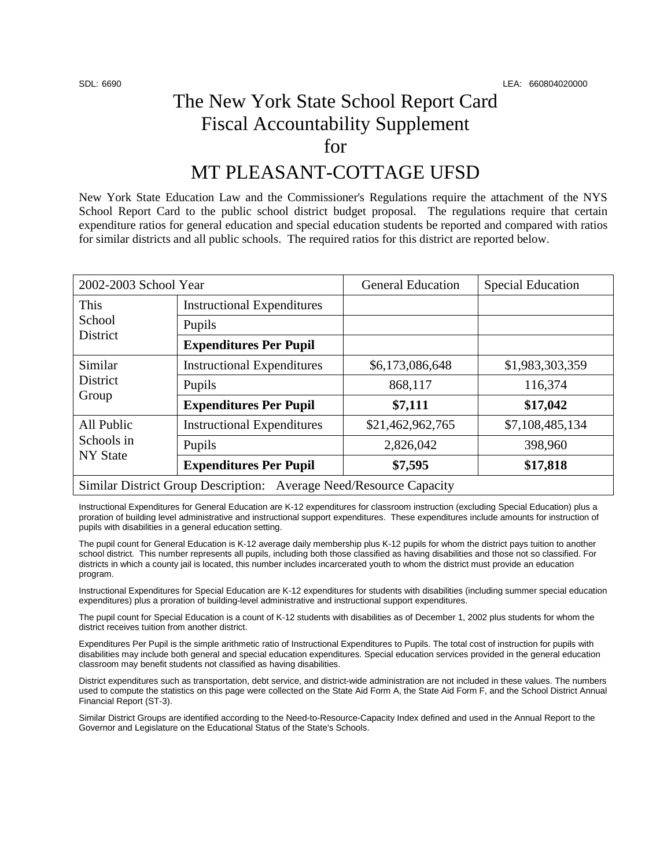## The New York State School Report Card Fiscal Accountability Supplement for

## MT PLEASANT-COTTAGE UFSD

New York State Education Law and the Commissioner's Regulations require the attachment of the NYS School Report Card to the public school district budget proposal. The regulations require that certain expenditure ratios for general education and special education students be reported and compared with ratios for similar districts and all public schools. The required ratios for this district are reported below.

| 2002-2003 School Year                       |                                                                    | <b>General Education</b> | <b>Special Education</b> |
|---------------------------------------------|--------------------------------------------------------------------|--------------------------|--------------------------|
| This<br>School<br>District                  | <b>Instructional Expenditures</b>                                  |                          |                          |
|                                             | Pupils                                                             |                          |                          |
|                                             | <b>Expenditures Per Pupil</b>                                      |                          |                          |
| Similar<br><b>District</b><br>Group         | <b>Instructional Expenditures</b>                                  | \$6,173,086,648          | \$1,983,303,359          |
|                                             | Pupils                                                             | 868,117                  | 116,374                  |
|                                             | <b>Expenditures Per Pupil</b>                                      | \$7,111                  | \$17,042                 |
| All Public<br>Schools in<br><b>NY State</b> | <b>Instructional Expenditures</b>                                  | \$21,462,962,765         | \$7,108,485,134          |
|                                             | Pupils                                                             | 2,826,042                | 398,960                  |
|                                             | <b>Expenditures Per Pupil</b>                                      | \$7,595                  | \$17,818                 |
|                                             | Similar District Group Description: Average Need/Resource Capacity |                          |                          |

Instructional Expenditures for General Education are K-12 expenditures for classroom instruction (excluding Special Education) plus a proration of building level administrative and instructional support expenditures. These expenditures include amounts for instruction of pupils with disabilities in a general education setting.

The pupil count for General Education is K-12 average daily membership plus K-12 pupils for whom the district pays tuition to another school district. This number represents all pupils, including both those classified as having disabilities and those not so classified. For districts in which a county jail is located, this number includes incarcerated youth to whom the district must provide an education program.

Instructional Expenditures for Special Education are K-12 expenditures for students with disabilities (including summer special education expenditures) plus a proration of building-level administrative and instructional support expenditures.

The pupil count for Special Education is a count of K-12 students with disabilities as of December 1, 2002 plus students for whom the district receives tuition from another district.

Expenditures Per Pupil is the simple arithmetic ratio of Instructional Expenditures to Pupils. The total cost of instruction for pupils with disabilities may include both general and special education expenditures. Special education services provided in the general education classroom may benefit students not classified as having disabilities.

District expenditures such as transportation, debt service, and district-wide administration are not included in these values. The numbers used to compute the statistics on this page were collected on the State Aid Form A, the State Aid Form F, and the School District Annual Financial Report (ST-3).

Similar District Groups are identified according to the Need-to-Resource-Capacity Index defined and used in the Annual Report to the Governor and Legislature on the Educational Status of the State's Schools.